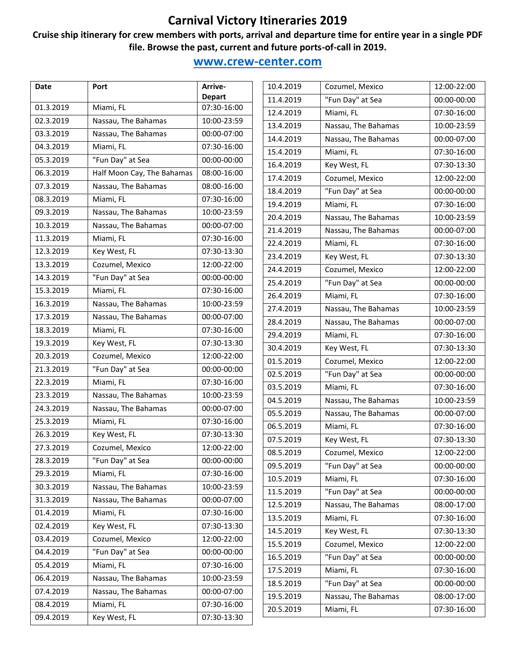#### **Cruise ship itinerary for crew members with ports, arrival and departure time for entire year in a single PDF file. Browse the past, current and future ports-of-call in 2019.**

| Date      | Port                       | Arrive-       |           | 10.4.2019           | Cozumel, Mexico     |
|-----------|----------------------------|---------------|-----------|---------------------|---------------------|
|           |                            | <b>Depart</b> |           | 11.4.2019           | "Fun Day" at Sea    |
| 01.3.2019 | Miami, FL                  | 07:30-16:00   |           | 12.4.2019           | Miami, FL           |
| 02.3.2019 | Nassau, The Bahamas        | 10:00-23:59   |           | 13.4.2019           | Nassau, The Bahamas |
| 03.3.2019 | Nassau, The Bahamas        | 00:00-07:00   |           | 14.4.2019           | Nassau, The Bahamas |
| 04.3.2019 | Miami, FL                  | 07:30-16:00   |           | 15.4.2019           | Miami, FL           |
| 05.3.2019 | "Fun Day" at Sea           | 00:00-00:00   |           | 16.4.2019           | Key West, FL        |
| 06.3.2019 | Half Moon Cay, The Bahamas | 08:00-16:00   | 17.4.2019 |                     | Cozumel, Mexico     |
| 07.3.2019 | Nassau, The Bahamas        | 08:00-16:00   | 18.4.2019 |                     | "Fun Day" at Sea    |
| 08.3.2019 | Miami, FL                  | 07:30-16:00   | 19.4.2019 |                     | Miami, FL           |
| 09.3.2019 | Nassau, The Bahamas        | 10:00-23:59   | 20.4.2019 |                     | Nassau, The Bahamas |
| 10.3.2019 | Nassau, The Bahamas        | 00:00-07:00   | 21.4.2019 |                     | Nassau, The Bahamas |
| 11.3.2019 | Miami, FL                  | 07:30-16:00   | 22.4.2019 | Miami, FL           |                     |
| 12.3.2019 | Key West, FL               | 07:30-13:30   | 23.4.2019 | Key West, FL        |                     |
| 13.3.2019 | Cozumel, Mexico            | 12:00-22:00   | 24.4.2019 | Cozumel, Mexico     |                     |
| 14.3.2019 | "Fun Day" at Sea           | 00:00-00:00   | 25.4.2019 | "Fun Day" at Sea    |                     |
| 15.3.2019 | Miami, FL                  | 07:30-16:00   | 26.4.2019 | Miami, FL           |                     |
| 16.3.2019 | Nassau, The Bahamas        | 10:00-23:59   | 27.4.2019 | Nassau, The Bahamas |                     |
| 17.3.2019 | Nassau, The Bahamas        | 00:00-07:00   | 28.4.2019 | Nassau, The Bahamas |                     |
| 18.3.2019 | Miami, FL                  | 07:30-16:00   | 29.4.2019 | Miami, FL           |                     |
| 19.3.2019 | Key West, FL               | 07:30-13:30   | 30.4.2019 | Key West, FL        |                     |
| 20.3.2019 | Cozumel, Mexico            | 12:00-22:00   | 01.5.2019 | Cozumel, Mexico     |                     |
| 21.3.2019 | "Fun Day" at Sea           | 00:00-00:00   | 02.5.2019 | "Fun Day" at Sea    |                     |
| 22.3.2019 | Miami, FL                  | 07:30-16:00   | 03.5.2019 | Miami, FL           |                     |
| 23.3.2019 | Nassau, The Bahamas        | 10:00-23:59   |           |                     |                     |
| 24.3.2019 | Nassau, The Bahamas        | 00:00-07:00   | 04.5.2019 | Nassau, The Bahamas |                     |
| 25.3.2019 | Miami, FL                  | 07:30-16:00   | 05.5.2019 | Nassau, The Bahamas |                     |
| 26.3.2019 | Key West, FL               | 07:30-13:30   | 06.5.2019 | Miami, FL           |                     |
| 27.3.2019 | Cozumel, Mexico            | 12:00-22:00   | 07.5.2019 | Key West, FL        |                     |
| 28.3.2019 | "Fun Day" at Sea           | 00:00-00:00   | 08.5.2019 | Cozumel, Mexico     |                     |
| 29.3.2019 | Miami, FL                  | 07:30-16:00   | 09.5.2019 | "Fun Day" at Sea    |                     |
| 30.3.2019 | Nassau, The Bahamas        | 10:00-23:59   | 10.5.2019 | Miami, FL           |                     |
| 31.3.2019 | Nassau, The Bahamas        | 00:00-07:00   | 11.5.2019 | "Fun Day" at Sea    |                     |
| 01.4.2019 | Miami, FL                  | 07:30-16:00   | 12.5.2019 | Nassau, The Bahamas |                     |
| 02.4.2019 | Key West, FL               | 07:30-13:30   | 13.5.2019 | Miami, FL           |                     |
| 03.4.2019 | Cozumel, Mexico            | 12:00-22:00   | 14.5.2019 | Key West, FL        |                     |
| 04.4.2019 | "Fun Day" at Sea           | 00:00-00:00   | 15.5.2019 | Cozumel, Mexico     |                     |
| 05.4.2019 | Miami, FL                  | 07:30-16:00   | 16.5.2019 | "Fun Day" at Sea    |                     |
| 06.4.2019 | Nassau, The Bahamas        | 10:00-23:59   | 17.5.2019 | Miami, FL           |                     |
| 07.4.2019 | Nassau, The Bahamas        | 00:00-07:00   | 18.5.2019 | "Fun Day" at Sea    |                     |
| 08.4.2019 | Miami, FL                  | 07:30-16:00   | 19.5.2019 | Nassau, The Bahamas |                     |
| 09.4.2019 | Key West, FL               | 07:30-13:30   | 20.5.2019 | Miami, FL           |                     |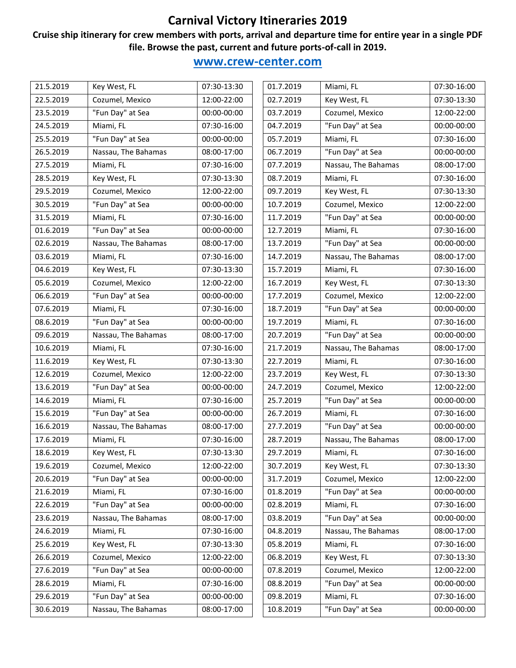#### **Cruise ship itinerary for crew members with ports, arrival and departure time for entire year in a single PDF file. Browse the past, current and future ports-of-call in 2019.**

| Cozumel, Mexico<br>12:00-22:00<br>02.7.2019<br>Key West, FL<br>"Fun Day" at Sea<br>00:00-00:00<br>03.7.2019<br>Cozumel, Mexico<br>"Fun Day" at Sea<br>07:30-16:00<br>04.7.2019<br>Miami, FL<br>"Fun Day" at Sea<br>Miami, FL<br>00:00-00:00<br>05.7.2019<br>"Fun Day" at Sea<br>Nassau, The Bahamas<br>06.7.2019<br>08:00-17:00<br>Miami, FL<br>07:30-16:00<br>07.7.2019<br>Nassau, The Bahamas<br>Key West, FL<br>07:30-13:30<br>08.7.2019<br>Miami, FL<br>09.7.2019<br>Cozumel, Mexico<br>12:00-22:00<br>Key West, FL<br>"Fun Day" at Sea<br>Cozumel, Mexico<br>00:00-00:00<br>10.7.2019<br>"Fun Day" at Sea<br>07:30-16:00<br>11.7.2019<br>Miami, FL<br>"Fun Day" at Sea<br>00:00-00:00<br>12.7.2019<br>Miami, FL<br>"Fun Day" at Sea<br>Nassau, The Bahamas<br>08:00-17:00<br>13.7.2019<br>Nassau, The Bahamas<br>Miami, FL<br>07:30-16:00<br>14.7.2019<br>Key West, FL<br>15.7.2019<br>Miami, FL<br>07:30-13:30<br>16.7.2019<br>Cozumel, Mexico<br>12:00-22:00<br>Key West, FL<br>"Fun Day" at Sea<br>Cozumel, Mexico<br>00:00-00:00<br>17.7.2019<br>"Fun Day" at Sea<br>Miami, FL<br>18.7.2019<br>07:30-16:00<br>"Fun Day" at Sea<br>00:00-00:00<br>19.7.2019<br>Miami, FL<br>"Fun Day" at Sea<br>Nassau, The Bahamas<br>08:00-17:00<br>20.7.2019<br>Miami, FL<br>21.7.2019<br>Nassau, The Bahamas<br>07:30-16:00<br>11.6.2019<br>Key West, FL<br>22.7.2019<br>Miami, FL<br>07:30-13:30<br>Cozumel, Mexico<br>23.7.2019<br>12:00-22:00<br>Key West, FL<br>"Fun Day" at Sea<br>00:00-00:00<br>24.7.2019<br>Cozumel, Mexico<br>"Fun Day" at Sea<br>Miami, FL<br>07:30-16:00<br>25.7.2019<br>"Fun Day" at Sea<br>00:00-00:00<br>26.7.2019<br>Miami, FL<br>"Fun Day" at Sea<br>Nassau, The Bahamas<br>08:00-17:00<br>27.7.2019<br>Nassau, The Bahamas<br>Miami, FL<br>07:30-16:00<br>28.7.2019<br>Key West, FL<br>07:30-13:30<br>Miami, FL<br>29.7.2019<br>Cozumel, Mexico<br>12:00-22:00<br>30.7.2019<br>Key West, FL<br>"Fun Day" at Sea<br>00:00-00:00<br>31.7.2019<br>Cozumel, Mexico<br>"Fun Day" at Sea<br>Miami, FL<br>07:30-16:00<br>01.8.2019<br>"Fun Day" at Sea<br>00:00-00:00<br>02.8.2019<br>Miami, FL<br>"Fun Day" at Sea<br>Nassau, The Bahamas<br>08:00-17:00<br>03.8.2019<br>04.8.2019<br>Miami, FL<br>07:30-16:00<br>Nassau, The Bahamas<br>Key West, FL<br>07:30-13:30<br>05.8.2019<br>Miami, FL<br>Cozumel, Mexico<br>12:00-22:00<br>06.8.2019<br>Key West, FL<br>"Fun Day" at Sea<br>00:00-00:00<br>07.8.2019<br>Cozumel, Mexico<br>"Fun Day" at Sea<br>Miami, FL<br>07:30-16:00<br>08.8.2019<br>"Fun Day" at Sea<br>00:00-00:00<br>09.8.2019<br>Miami, FL<br>"Fun Day" at Sea<br>Nassau, The Bahamas<br>08:00-17:00<br>10.8.2019 | 21.5.2019 | Key West, FL | 07:30-13:30 | 01.7.2019 | Miami, FL | 07:30-16:00 |
|----------------------------------------------------------------------------------------------------------------------------------------------------------------------------------------------------------------------------------------------------------------------------------------------------------------------------------------------------------------------------------------------------------------------------------------------------------------------------------------------------------------------------------------------------------------------------------------------------------------------------------------------------------------------------------------------------------------------------------------------------------------------------------------------------------------------------------------------------------------------------------------------------------------------------------------------------------------------------------------------------------------------------------------------------------------------------------------------------------------------------------------------------------------------------------------------------------------------------------------------------------------------------------------------------------------------------------------------------------------------------------------------------------------------------------------------------------------------------------------------------------------------------------------------------------------------------------------------------------------------------------------------------------------------------------------------------------------------------------------------------------------------------------------------------------------------------------------------------------------------------------------------------------------------------------------------------------------------------------------------------------------------------------------------------------------------------------------------------------------------------------------------------------------------------------------------------------------------------------------------------------------------------------------------------------------------------------------------------------------------------------------------------------------------------------------------------------------------------------------------------------------------------------------------------------------------------------------------------------------------------------------------------------|-----------|--------------|-------------|-----------|-----------|-------------|
|                                                                                                                                                                                                                                                                                                                                                                                                                                                                                                                                                                                                                                                                                                                                                                                                                                                                                                                                                                                                                                                                                                                                                                                                                                                                                                                                                                                                                                                                                                                                                                                                                                                                                                                                                                                                                                                                                                                                                                                                                                                                                                                                                                                                                                                                                                                                                                                                                                                                                                                                                                                                                                                          | 22.5.2019 |              |             |           |           | 07:30-13:30 |
|                                                                                                                                                                                                                                                                                                                                                                                                                                                                                                                                                                                                                                                                                                                                                                                                                                                                                                                                                                                                                                                                                                                                                                                                                                                                                                                                                                                                                                                                                                                                                                                                                                                                                                                                                                                                                                                                                                                                                                                                                                                                                                                                                                                                                                                                                                                                                                                                                                                                                                                                                                                                                                                          | 23.5.2019 |              |             |           |           | 12:00-22:00 |
|                                                                                                                                                                                                                                                                                                                                                                                                                                                                                                                                                                                                                                                                                                                                                                                                                                                                                                                                                                                                                                                                                                                                                                                                                                                                                                                                                                                                                                                                                                                                                                                                                                                                                                                                                                                                                                                                                                                                                                                                                                                                                                                                                                                                                                                                                                                                                                                                                                                                                                                                                                                                                                                          | 24.5.2019 |              |             |           |           | 00:00-00:00 |
|                                                                                                                                                                                                                                                                                                                                                                                                                                                                                                                                                                                                                                                                                                                                                                                                                                                                                                                                                                                                                                                                                                                                                                                                                                                                                                                                                                                                                                                                                                                                                                                                                                                                                                                                                                                                                                                                                                                                                                                                                                                                                                                                                                                                                                                                                                                                                                                                                                                                                                                                                                                                                                                          | 25.5.2019 |              |             |           |           | 07:30-16:00 |
|                                                                                                                                                                                                                                                                                                                                                                                                                                                                                                                                                                                                                                                                                                                                                                                                                                                                                                                                                                                                                                                                                                                                                                                                                                                                                                                                                                                                                                                                                                                                                                                                                                                                                                                                                                                                                                                                                                                                                                                                                                                                                                                                                                                                                                                                                                                                                                                                                                                                                                                                                                                                                                                          | 26.5.2019 |              |             |           |           | 00:00-00:00 |
|                                                                                                                                                                                                                                                                                                                                                                                                                                                                                                                                                                                                                                                                                                                                                                                                                                                                                                                                                                                                                                                                                                                                                                                                                                                                                                                                                                                                                                                                                                                                                                                                                                                                                                                                                                                                                                                                                                                                                                                                                                                                                                                                                                                                                                                                                                                                                                                                                                                                                                                                                                                                                                                          | 27.5.2019 |              |             |           |           | 08:00-17:00 |
|                                                                                                                                                                                                                                                                                                                                                                                                                                                                                                                                                                                                                                                                                                                                                                                                                                                                                                                                                                                                                                                                                                                                                                                                                                                                                                                                                                                                                                                                                                                                                                                                                                                                                                                                                                                                                                                                                                                                                                                                                                                                                                                                                                                                                                                                                                                                                                                                                                                                                                                                                                                                                                                          | 28.5.2019 |              |             |           |           | 07:30-16:00 |
|                                                                                                                                                                                                                                                                                                                                                                                                                                                                                                                                                                                                                                                                                                                                                                                                                                                                                                                                                                                                                                                                                                                                                                                                                                                                                                                                                                                                                                                                                                                                                                                                                                                                                                                                                                                                                                                                                                                                                                                                                                                                                                                                                                                                                                                                                                                                                                                                                                                                                                                                                                                                                                                          | 29.5.2019 |              |             |           |           | 07:30-13:30 |
|                                                                                                                                                                                                                                                                                                                                                                                                                                                                                                                                                                                                                                                                                                                                                                                                                                                                                                                                                                                                                                                                                                                                                                                                                                                                                                                                                                                                                                                                                                                                                                                                                                                                                                                                                                                                                                                                                                                                                                                                                                                                                                                                                                                                                                                                                                                                                                                                                                                                                                                                                                                                                                                          | 30.5.2019 |              |             |           |           | 12:00-22:00 |
|                                                                                                                                                                                                                                                                                                                                                                                                                                                                                                                                                                                                                                                                                                                                                                                                                                                                                                                                                                                                                                                                                                                                                                                                                                                                                                                                                                                                                                                                                                                                                                                                                                                                                                                                                                                                                                                                                                                                                                                                                                                                                                                                                                                                                                                                                                                                                                                                                                                                                                                                                                                                                                                          | 31.5.2019 |              |             |           |           | 00:00-00:00 |
|                                                                                                                                                                                                                                                                                                                                                                                                                                                                                                                                                                                                                                                                                                                                                                                                                                                                                                                                                                                                                                                                                                                                                                                                                                                                                                                                                                                                                                                                                                                                                                                                                                                                                                                                                                                                                                                                                                                                                                                                                                                                                                                                                                                                                                                                                                                                                                                                                                                                                                                                                                                                                                                          | 01.6.2019 |              |             |           |           | 07:30-16:00 |
|                                                                                                                                                                                                                                                                                                                                                                                                                                                                                                                                                                                                                                                                                                                                                                                                                                                                                                                                                                                                                                                                                                                                                                                                                                                                                                                                                                                                                                                                                                                                                                                                                                                                                                                                                                                                                                                                                                                                                                                                                                                                                                                                                                                                                                                                                                                                                                                                                                                                                                                                                                                                                                                          | 02.6.2019 |              |             |           |           | 00:00-00:00 |
|                                                                                                                                                                                                                                                                                                                                                                                                                                                                                                                                                                                                                                                                                                                                                                                                                                                                                                                                                                                                                                                                                                                                                                                                                                                                                                                                                                                                                                                                                                                                                                                                                                                                                                                                                                                                                                                                                                                                                                                                                                                                                                                                                                                                                                                                                                                                                                                                                                                                                                                                                                                                                                                          | 03.6.2019 |              |             |           |           | 08:00-17:00 |
|                                                                                                                                                                                                                                                                                                                                                                                                                                                                                                                                                                                                                                                                                                                                                                                                                                                                                                                                                                                                                                                                                                                                                                                                                                                                                                                                                                                                                                                                                                                                                                                                                                                                                                                                                                                                                                                                                                                                                                                                                                                                                                                                                                                                                                                                                                                                                                                                                                                                                                                                                                                                                                                          | 04.6.2019 |              |             |           |           | 07:30-16:00 |
|                                                                                                                                                                                                                                                                                                                                                                                                                                                                                                                                                                                                                                                                                                                                                                                                                                                                                                                                                                                                                                                                                                                                                                                                                                                                                                                                                                                                                                                                                                                                                                                                                                                                                                                                                                                                                                                                                                                                                                                                                                                                                                                                                                                                                                                                                                                                                                                                                                                                                                                                                                                                                                                          | 05.6.2019 |              |             |           |           | 07:30-13:30 |
|                                                                                                                                                                                                                                                                                                                                                                                                                                                                                                                                                                                                                                                                                                                                                                                                                                                                                                                                                                                                                                                                                                                                                                                                                                                                                                                                                                                                                                                                                                                                                                                                                                                                                                                                                                                                                                                                                                                                                                                                                                                                                                                                                                                                                                                                                                                                                                                                                                                                                                                                                                                                                                                          | 06.6.2019 |              |             |           |           | 12:00-22:00 |
|                                                                                                                                                                                                                                                                                                                                                                                                                                                                                                                                                                                                                                                                                                                                                                                                                                                                                                                                                                                                                                                                                                                                                                                                                                                                                                                                                                                                                                                                                                                                                                                                                                                                                                                                                                                                                                                                                                                                                                                                                                                                                                                                                                                                                                                                                                                                                                                                                                                                                                                                                                                                                                                          | 07.6.2019 |              |             |           |           | 00:00-00:00 |
|                                                                                                                                                                                                                                                                                                                                                                                                                                                                                                                                                                                                                                                                                                                                                                                                                                                                                                                                                                                                                                                                                                                                                                                                                                                                                                                                                                                                                                                                                                                                                                                                                                                                                                                                                                                                                                                                                                                                                                                                                                                                                                                                                                                                                                                                                                                                                                                                                                                                                                                                                                                                                                                          | 08.6.2019 |              |             |           |           | 07:30-16:00 |
|                                                                                                                                                                                                                                                                                                                                                                                                                                                                                                                                                                                                                                                                                                                                                                                                                                                                                                                                                                                                                                                                                                                                                                                                                                                                                                                                                                                                                                                                                                                                                                                                                                                                                                                                                                                                                                                                                                                                                                                                                                                                                                                                                                                                                                                                                                                                                                                                                                                                                                                                                                                                                                                          | 09.6.2019 |              |             |           |           | 00:00-00:00 |
|                                                                                                                                                                                                                                                                                                                                                                                                                                                                                                                                                                                                                                                                                                                                                                                                                                                                                                                                                                                                                                                                                                                                                                                                                                                                                                                                                                                                                                                                                                                                                                                                                                                                                                                                                                                                                                                                                                                                                                                                                                                                                                                                                                                                                                                                                                                                                                                                                                                                                                                                                                                                                                                          | 10.6.2019 |              |             |           |           | 08:00-17:00 |
|                                                                                                                                                                                                                                                                                                                                                                                                                                                                                                                                                                                                                                                                                                                                                                                                                                                                                                                                                                                                                                                                                                                                                                                                                                                                                                                                                                                                                                                                                                                                                                                                                                                                                                                                                                                                                                                                                                                                                                                                                                                                                                                                                                                                                                                                                                                                                                                                                                                                                                                                                                                                                                                          |           |              |             |           |           | 07:30-16:00 |
|                                                                                                                                                                                                                                                                                                                                                                                                                                                                                                                                                                                                                                                                                                                                                                                                                                                                                                                                                                                                                                                                                                                                                                                                                                                                                                                                                                                                                                                                                                                                                                                                                                                                                                                                                                                                                                                                                                                                                                                                                                                                                                                                                                                                                                                                                                                                                                                                                                                                                                                                                                                                                                                          | 12.6.2019 |              |             |           |           | 07:30-13:30 |
|                                                                                                                                                                                                                                                                                                                                                                                                                                                                                                                                                                                                                                                                                                                                                                                                                                                                                                                                                                                                                                                                                                                                                                                                                                                                                                                                                                                                                                                                                                                                                                                                                                                                                                                                                                                                                                                                                                                                                                                                                                                                                                                                                                                                                                                                                                                                                                                                                                                                                                                                                                                                                                                          | 13.6.2019 |              |             |           |           | 12:00-22:00 |
|                                                                                                                                                                                                                                                                                                                                                                                                                                                                                                                                                                                                                                                                                                                                                                                                                                                                                                                                                                                                                                                                                                                                                                                                                                                                                                                                                                                                                                                                                                                                                                                                                                                                                                                                                                                                                                                                                                                                                                                                                                                                                                                                                                                                                                                                                                                                                                                                                                                                                                                                                                                                                                                          | 14.6.2019 |              |             |           |           | 00:00-00:00 |
|                                                                                                                                                                                                                                                                                                                                                                                                                                                                                                                                                                                                                                                                                                                                                                                                                                                                                                                                                                                                                                                                                                                                                                                                                                                                                                                                                                                                                                                                                                                                                                                                                                                                                                                                                                                                                                                                                                                                                                                                                                                                                                                                                                                                                                                                                                                                                                                                                                                                                                                                                                                                                                                          | 15.6.2019 |              |             |           |           | 07:30-16:00 |
|                                                                                                                                                                                                                                                                                                                                                                                                                                                                                                                                                                                                                                                                                                                                                                                                                                                                                                                                                                                                                                                                                                                                                                                                                                                                                                                                                                                                                                                                                                                                                                                                                                                                                                                                                                                                                                                                                                                                                                                                                                                                                                                                                                                                                                                                                                                                                                                                                                                                                                                                                                                                                                                          | 16.6.2019 |              |             |           |           | 00:00-00:00 |
|                                                                                                                                                                                                                                                                                                                                                                                                                                                                                                                                                                                                                                                                                                                                                                                                                                                                                                                                                                                                                                                                                                                                                                                                                                                                                                                                                                                                                                                                                                                                                                                                                                                                                                                                                                                                                                                                                                                                                                                                                                                                                                                                                                                                                                                                                                                                                                                                                                                                                                                                                                                                                                                          | 17.6.2019 |              |             |           |           | 08:00-17:00 |
|                                                                                                                                                                                                                                                                                                                                                                                                                                                                                                                                                                                                                                                                                                                                                                                                                                                                                                                                                                                                                                                                                                                                                                                                                                                                                                                                                                                                                                                                                                                                                                                                                                                                                                                                                                                                                                                                                                                                                                                                                                                                                                                                                                                                                                                                                                                                                                                                                                                                                                                                                                                                                                                          | 18.6.2019 |              |             |           |           | 07:30-16:00 |
|                                                                                                                                                                                                                                                                                                                                                                                                                                                                                                                                                                                                                                                                                                                                                                                                                                                                                                                                                                                                                                                                                                                                                                                                                                                                                                                                                                                                                                                                                                                                                                                                                                                                                                                                                                                                                                                                                                                                                                                                                                                                                                                                                                                                                                                                                                                                                                                                                                                                                                                                                                                                                                                          | 19.6.2019 |              |             |           |           | 07:30-13:30 |
|                                                                                                                                                                                                                                                                                                                                                                                                                                                                                                                                                                                                                                                                                                                                                                                                                                                                                                                                                                                                                                                                                                                                                                                                                                                                                                                                                                                                                                                                                                                                                                                                                                                                                                                                                                                                                                                                                                                                                                                                                                                                                                                                                                                                                                                                                                                                                                                                                                                                                                                                                                                                                                                          | 20.6.2019 |              |             |           |           | 12:00-22:00 |
|                                                                                                                                                                                                                                                                                                                                                                                                                                                                                                                                                                                                                                                                                                                                                                                                                                                                                                                                                                                                                                                                                                                                                                                                                                                                                                                                                                                                                                                                                                                                                                                                                                                                                                                                                                                                                                                                                                                                                                                                                                                                                                                                                                                                                                                                                                                                                                                                                                                                                                                                                                                                                                                          | 21.6.2019 |              |             |           |           | 00:00-00:00 |
|                                                                                                                                                                                                                                                                                                                                                                                                                                                                                                                                                                                                                                                                                                                                                                                                                                                                                                                                                                                                                                                                                                                                                                                                                                                                                                                                                                                                                                                                                                                                                                                                                                                                                                                                                                                                                                                                                                                                                                                                                                                                                                                                                                                                                                                                                                                                                                                                                                                                                                                                                                                                                                                          | 22.6.2019 |              |             |           |           | 07:30-16:00 |
|                                                                                                                                                                                                                                                                                                                                                                                                                                                                                                                                                                                                                                                                                                                                                                                                                                                                                                                                                                                                                                                                                                                                                                                                                                                                                                                                                                                                                                                                                                                                                                                                                                                                                                                                                                                                                                                                                                                                                                                                                                                                                                                                                                                                                                                                                                                                                                                                                                                                                                                                                                                                                                                          | 23.6.2019 |              |             |           |           | 00:00-00:00 |
|                                                                                                                                                                                                                                                                                                                                                                                                                                                                                                                                                                                                                                                                                                                                                                                                                                                                                                                                                                                                                                                                                                                                                                                                                                                                                                                                                                                                                                                                                                                                                                                                                                                                                                                                                                                                                                                                                                                                                                                                                                                                                                                                                                                                                                                                                                                                                                                                                                                                                                                                                                                                                                                          | 24.6.2019 |              |             |           |           | 08:00-17:00 |
|                                                                                                                                                                                                                                                                                                                                                                                                                                                                                                                                                                                                                                                                                                                                                                                                                                                                                                                                                                                                                                                                                                                                                                                                                                                                                                                                                                                                                                                                                                                                                                                                                                                                                                                                                                                                                                                                                                                                                                                                                                                                                                                                                                                                                                                                                                                                                                                                                                                                                                                                                                                                                                                          | 25.6.2019 |              |             |           |           | 07:30-16:00 |
|                                                                                                                                                                                                                                                                                                                                                                                                                                                                                                                                                                                                                                                                                                                                                                                                                                                                                                                                                                                                                                                                                                                                                                                                                                                                                                                                                                                                                                                                                                                                                                                                                                                                                                                                                                                                                                                                                                                                                                                                                                                                                                                                                                                                                                                                                                                                                                                                                                                                                                                                                                                                                                                          | 26.6.2019 |              |             |           |           | 07:30-13:30 |
|                                                                                                                                                                                                                                                                                                                                                                                                                                                                                                                                                                                                                                                                                                                                                                                                                                                                                                                                                                                                                                                                                                                                                                                                                                                                                                                                                                                                                                                                                                                                                                                                                                                                                                                                                                                                                                                                                                                                                                                                                                                                                                                                                                                                                                                                                                                                                                                                                                                                                                                                                                                                                                                          | 27.6.2019 |              |             |           |           | 12:00-22:00 |
|                                                                                                                                                                                                                                                                                                                                                                                                                                                                                                                                                                                                                                                                                                                                                                                                                                                                                                                                                                                                                                                                                                                                                                                                                                                                                                                                                                                                                                                                                                                                                                                                                                                                                                                                                                                                                                                                                                                                                                                                                                                                                                                                                                                                                                                                                                                                                                                                                                                                                                                                                                                                                                                          | 28.6.2019 |              |             |           |           | 00:00-00:00 |
|                                                                                                                                                                                                                                                                                                                                                                                                                                                                                                                                                                                                                                                                                                                                                                                                                                                                                                                                                                                                                                                                                                                                                                                                                                                                                                                                                                                                                                                                                                                                                                                                                                                                                                                                                                                                                                                                                                                                                                                                                                                                                                                                                                                                                                                                                                                                                                                                                                                                                                                                                                                                                                                          | 29.6.2019 |              |             |           |           | 07:30-16:00 |
|                                                                                                                                                                                                                                                                                                                                                                                                                                                                                                                                                                                                                                                                                                                                                                                                                                                                                                                                                                                                                                                                                                                                                                                                                                                                                                                                                                                                                                                                                                                                                                                                                                                                                                                                                                                                                                                                                                                                                                                                                                                                                                                                                                                                                                                                                                                                                                                                                                                                                                                                                                                                                                                          | 30.6.2019 |              |             |           |           | 00:00-00:00 |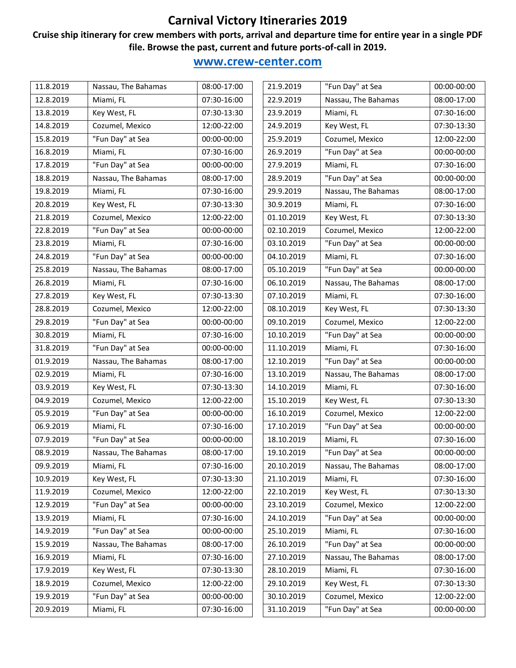#### **Cruise ship itinerary for crew members with ports, arrival and departure time for entire year in a single PDF file. Browse the past, current and future ports-of-call in 2019.**

| 11.8.2019 | Nassau, The Bahamas | 08:00-17:00 | 21.9.2019  | "Fun Day" at Sea    | 00:00-00:00 |
|-----------|---------------------|-------------|------------|---------------------|-------------|
| 12.8.2019 | Miami, FL           | 07:30-16:00 | 22.9.2019  | Nassau, The Bahamas | 08:00-17:00 |
| 13.8.2019 | Key West, FL        | 07:30-13:30 | 23.9.2019  | Miami, FL           | 07:30-16:00 |
| 14.8.2019 | Cozumel, Mexico     | 12:00-22:00 | 24.9.2019  | Key West, FL        | 07:30-13:30 |
| 15.8.2019 | "Fun Day" at Sea    | 00:00-00:00 | 25.9.2019  | Cozumel, Mexico     | 12:00-22:00 |
| 16.8.2019 | Miami, FL           | 07:30-16:00 | 26.9.2019  | "Fun Day" at Sea    | 00:00-00:00 |
| 17.8.2019 | "Fun Day" at Sea    | 00:00-00:00 | 27.9.2019  | Miami, FL           | 07:30-16:00 |
| 18.8.2019 | Nassau, The Bahamas | 08:00-17:00 | 28.9.2019  | "Fun Day" at Sea    | 00:00-00:00 |
| 19.8.2019 | Miami, FL           | 07:30-16:00 | 29.9.2019  | Nassau, The Bahamas | 08:00-17:00 |
| 20.8.2019 | Key West, FL        | 07:30-13:30 | 30.9.2019  | Miami, FL           | 07:30-16:00 |
| 21.8.2019 | Cozumel, Mexico     | 12:00-22:00 | 01.10.2019 | Key West, FL        | 07:30-13:30 |
| 22.8.2019 | "Fun Day" at Sea    | 00:00-00:00 | 02.10.2019 | Cozumel, Mexico     | 12:00-22:00 |
| 23.8.2019 | Miami, FL           | 07:30-16:00 | 03.10.2019 | "Fun Day" at Sea    | 00:00-00:00 |
| 24.8.2019 | "Fun Day" at Sea    | 00:00-00:00 | 04.10.2019 | Miami, FL           | 07:30-16:00 |
| 25.8.2019 | Nassau, The Bahamas | 08:00-17:00 | 05.10.2019 | "Fun Day" at Sea    | 00:00-00:00 |
| 26.8.2019 | Miami, FL           | 07:30-16:00 | 06.10.2019 | Nassau, The Bahamas | 08:00-17:00 |
| 27.8.2019 | Key West, FL        | 07:30-13:30 | 07.10.2019 | Miami, FL           | 07:30-16:00 |
| 28.8.2019 | Cozumel, Mexico     | 12:00-22:00 | 08.10.2019 | Key West, FL        | 07:30-13:30 |
| 29.8.2019 | "Fun Day" at Sea    | 00:00-00:00 | 09.10.2019 | Cozumel, Mexico     | 12:00-22:00 |
| 30.8.2019 | Miami, FL           | 07:30-16:00 | 10.10.2019 | "Fun Day" at Sea    | 00:00-00:00 |
| 31.8.2019 | "Fun Day" at Sea    | 00:00-00:00 | 11.10.2019 | Miami, FL           | 07:30-16:00 |
| 01.9.2019 | Nassau, The Bahamas | 08:00-17:00 | 12.10.2019 | "Fun Day" at Sea    | 00:00-00:00 |
| 02.9.2019 | Miami, FL           | 07:30-16:00 | 13.10.2019 | Nassau, The Bahamas | 08:00-17:00 |
| 03.9.2019 | Key West, FL        | 07:30-13:30 | 14.10.2019 | Miami, FL           | 07:30-16:00 |
| 04.9.2019 | Cozumel, Mexico     | 12:00-22:00 | 15.10.2019 | Key West, FL        | 07:30-13:30 |
| 05.9.2019 | "Fun Day" at Sea    | 00:00-00:00 | 16.10.2019 | Cozumel, Mexico     | 12:00-22:00 |
| 06.9.2019 | Miami, FL           | 07:30-16:00 | 17.10.2019 | "Fun Day" at Sea    | 00:00-00:00 |
| 07.9.2019 | "Fun Day" at Sea    | 00:00-00:00 | 18.10.2019 | Miami, FL           | 07:30-16:00 |
| 08.9.2019 | Nassau, The Bahamas | 08:00-17:00 | 19.10.2019 | "Fun Day" at Sea    | 00:00-00:00 |
| 09.9.2019 | Miami, FL           | 07:30-16:00 | 20.10.2019 | Nassau, The Bahamas | 08:00-17:00 |
| 10.9.2019 | Key West, FL        | 07:30-13:30 | 21.10.2019 | Miami, FL           | 07:30-16:00 |
| 11.9.2019 | Cozumel, Mexico     | 12:00-22:00 | 22.10.2019 | Key West, FL        | 07:30-13:30 |
| 12.9.2019 | "Fun Day" at Sea    | 00:00-00:00 | 23.10.2019 | Cozumel, Mexico     | 12:00-22:00 |
| 13.9.2019 | Miami, FL           | 07:30-16:00 | 24.10.2019 | "Fun Day" at Sea    | 00:00-00:00 |
| 14.9.2019 | "Fun Day" at Sea    | 00:00-00:00 | 25.10.2019 | Miami, FL           | 07:30-16:00 |
| 15.9.2019 | Nassau, The Bahamas | 08:00-17:00 | 26.10.2019 | "Fun Day" at Sea    | 00:00-00:00 |
| 16.9.2019 | Miami, FL           | 07:30-16:00 | 27.10.2019 | Nassau, The Bahamas | 08:00-17:00 |
| 17.9.2019 | Key West, FL        | 07:30-13:30 | 28.10.2019 | Miami, FL           | 07:30-16:00 |
| 18.9.2019 | Cozumel, Mexico     | 12:00-22:00 | 29.10.2019 | Key West, FL        | 07:30-13:30 |
| 19.9.2019 | "Fun Day" at Sea    | 00:00-00:00 | 30.10.2019 | Cozumel, Mexico     | 12:00-22:00 |
| 20.9.2019 | Miami, FL           | 07:30-16:00 | 31.10.2019 | "Fun Day" at Sea    | 00:00-00:00 |
|           |                     |             |            |                     |             |